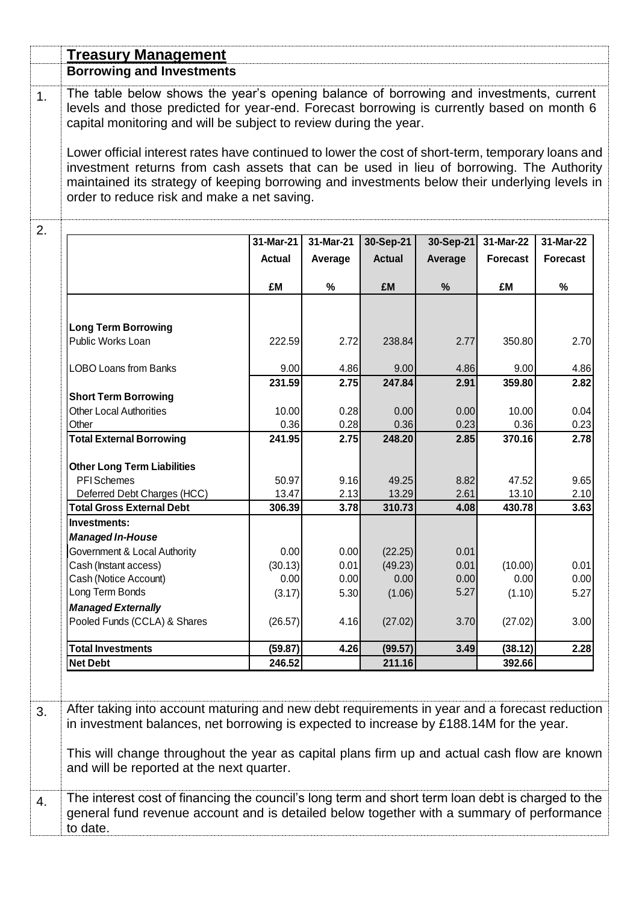|    | <b>Treasury Management</b>                                                                                                                                                                                                                                                                                                                    |                            |                      |                            |                      |                              |                              |  |
|----|-----------------------------------------------------------------------------------------------------------------------------------------------------------------------------------------------------------------------------------------------------------------------------------------------------------------------------------------------|----------------------------|----------------------|----------------------------|----------------------|------------------------------|------------------------------|--|
|    | <b>Borrowing and Investments</b>                                                                                                                                                                                                                                                                                                              |                            |                      |                            |                      |                              |                              |  |
| 1. | The table below shows the year's opening balance of borrowing and investments, current<br>levels and those predicted for year-end. Forecast borrowing is currently based on month 6<br>capital monitoring and will be subject to review during the year.                                                                                      |                            |                      |                            |                      |                              |                              |  |
|    | Lower official interest rates have continued to lower the cost of short-term, temporary loans and<br>investment returns from cash assets that can be used in lieu of borrowing. The Authority<br>maintained its strategy of keeping borrowing and investments below their underlying levels in<br>order to reduce risk and make a net saving. |                            |                      |                            |                      |                              |                              |  |
| 2. |                                                                                                                                                                                                                                                                                                                                               | 31-Mar-21<br><b>Actual</b> | 31-Mar-21<br>Average | 30-Sep-21<br><b>Actual</b> | 30-Sep-21<br>Average | 31-Mar-22<br><b>Forecast</b> | 31-Mar-22<br><b>Forecast</b> |  |
|    |                                                                                                                                                                                                                                                                                                                                               | £M                         | $\%$                 | £M                         | $\%$                 | £M                           | $\%$                         |  |
|    | <b>Long Term Borrowing</b><br>Public Works Loan                                                                                                                                                                                                                                                                                               | 222.59                     | 2.72                 | 238.84                     | 2.77                 | 350.80                       | 2.70                         |  |
|    | <b>LOBO Loans from Banks</b>                                                                                                                                                                                                                                                                                                                  | 9.00                       | 4.86                 | 9.00                       | 4.86                 | 9.00                         | 4.86                         |  |
|    | <b>Short Term Borrowing</b><br><b>Other Local Authorities</b>                                                                                                                                                                                                                                                                                 | 231.59<br>10.00            | 2.75<br>0.28         | 247.84<br>0.00             | 2.91<br>0.00         | 359.80<br>10.00              | 2.82<br>0.04                 |  |
|    | Other<br><b>Total External Borrowing</b>                                                                                                                                                                                                                                                                                                      | 0.36<br>241.95             | 0.28<br>2.75         | 0.36<br>248.20             | 0.23<br>2.85         | 0.36<br>370.16               | 0.23<br>2.78                 |  |
|    | <b>Other Long Term Liabilities</b><br>PFI Schemes                                                                                                                                                                                                                                                                                             | 50.97                      | 9.16                 | 49.25                      | 8.82                 | 47.52                        | 9.65                         |  |
|    | Deferred Debt Charges (HCC)                                                                                                                                                                                                                                                                                                                   | 13.47                      | 2.13                 | 13.29                      | 2.61                 | 13.10                        | 2.10                         |  |
|    | <b>Total Gross External Debt</b>                                                                                                                                                                                                                                                                                                              | 306.39                     | 3.78                 | 310.73                     | 4.08                 | 430.78                       | 3.63                         |  |
|    | Investments:<br><b>Managed In-House</b><br>Government & Local Authority                                                                                                                                                                                                                                                                       | 0.00                       | 0.00                 | (22.25)                    | 0.01                 |                              |                              |  |
|    | Cash (Instant access)<br>Cash (Notice Account)                                                                                                                                                                                                                                                                                                | (30.13)<br>0.00            | 0.01<br>0.00         | (49.23)<br>0.00            | 0.01<br>0.00         | (10.00)<br>0.00              | 0.01<br>0.00                 |  |
|    | Long Term Bonds<br><b>Managed Externally</b>                                                                                                                                                                                                                                                                                                  | (3.17)                     | 5.30                 | (1.06)                     | 5.27                 | (1.10)                       | 5.27                         |  |
|    | Pooled Funds (CCLA) & Shares                                                                                                                                                                                                                                                                                                                  | (26.57)                    | 4.16                 | (27.02)                    | 3.70                 | (27.02)                      | 3.00                         |  |
|    | <b>Total Investments</b>                                                                                                                                                                                                                                                                                                                      | (59.87)                    | 4.26                 | (99.57)                    | 3.49                 | (38.12)                      | 2.28                         |  |
|    | <b>Net Debt</b>                                                                                                                                                                                                                                                                                                                               | 246.52                     |                      | 211.16                     |                      | 392.66                       |                              |  |
| 3. | After taking into account maturing and new debt requirements in year and a forecast reduction<br>in investment balances, net borrowing is expected to increase by £188.14M for the year.<br>This will change throughout the year as capital plans firm up and actual cash flow are known<br>and will be reported at the next quarter.         |                            |                      |                            |                      |                              |                              |  |
| 4. | The interest cost of financing the council's long term and short term loan debt is charged to the<br>general fund revenue account and is detailed below together with a summary of performance<br>to date.                                                                                                                                    |                            |                      |                            |                      |                              |                              |  |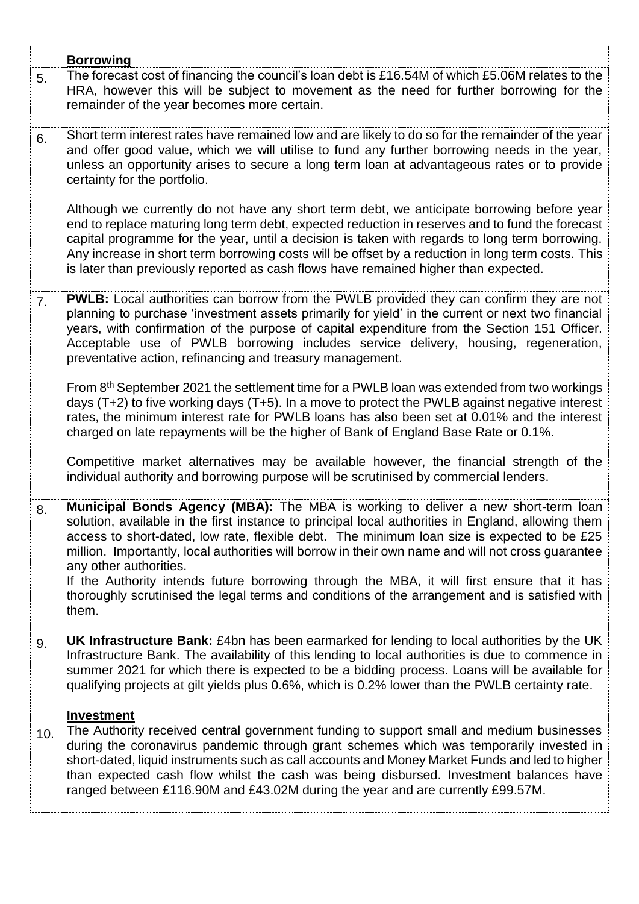| <b>Borrowing</b>                                                                                                                                                                                                                                                                                                                                                                                                                                                                                                                                                                                                                        |
|-----------------------------------------------------------------------------------------------------------------------------------------------------------------------------------------------------------------------------------------------------------------------------------------------------------------------------------------------------------------------------------------------------------------------------------------------------------------------------------------------------------------------------------------------------------------------------------------------------------------------------------------|
| The forecast cost of financing the council's loan debt is £16.54M of which £5.06M relates to the<br>HRA, however this will be subject to movement as the need for further borrowing for the<br>remainder of the year becomes more certain.                                                                                                                                                                                                                                                                                                                                                                                              |
| Short term interest rates have remained low and are likely to do so for the remainder of the year<br>and offer good value, which we will utilise to fund any further borrowing needs in the year,<br>unless an opportunity arises to secure a long term loan at advantageous rates or to provide<br>certainty for the portfolio.                                                                                                                                                                                                                                                                                                        |
| Although we currently do not have any short term debt, we anticipate borrowing before year<br>end to replace maturing long term debt, expected reduction in reserves and to fund the forecast<br>capital programme for the year, until a decision is taken with regards to long term borrowing.<br>Any increase in short term borrowing costs will be offset by a reduction in long term costs. This<br>is later than previously reported as cash flows have remained higher than expected.                                                                                                                                             |
| PWLB: Local authorities can borrow from the PWLB provided they can confirm they are not<br>planning to purchase 'investment assets primarily for yield' in the current or next two financial<br>years, with confirmation of the purpose of capital expenditure from the Section 151 Officer.<br>Acceptable use of PWLB borrowing includes service delivery, housing, regeneration,<br>preventative action, refinancing and treasury management.                                                                                                                                                                                         |
| From 8 <sup>th</sup> September 2021 the settlement time for a PWLB loan was extended from two workings<br>days $(T+2)$ to five working days $(T+5)$ . In a move to protect the PWLB against negative interest<br>rates, the minimum interest rate for PWLB loans has also been set at 0.01% and the interest<br>charged on late repayments will be the higher of Bank of England Base Rate or 0.1%.                                                                                                                                                                                                                                     |
| Competitive market alternatives may be available however, the financial strength of the<br>individual authority and borrowing purpose will be scrutinised by commercial lenders.                                                                                                                                                                                                                                                                                                                                                                                                                                                        |
| <b>Municipal Bonds Agency (MBA):</b> The MBA is working to deliver a new short-term loan<br>solution, available in the first instance to principal local authorities in England, allowing them<br>access to short-dated, low rate, flexible debt. The minimum loan size is expected to be £25<br>million. Importantly, local authorities will borrow in their own name and will not cross guarantee<br>any other authorities.<br>If the Authority intends future borrowing through the MBA, it will first ensure that it has<br>thoroughly scrutinised the legal terms and conditions of the arrangement and is satisfied with<br>them. |
| UK Infrastructure Bank: £4bn has been earmarked for lending to local authorities by the UK<br>Infrastructure Bank. The availability of this lending to local authorities is due to commence in<br>summer 2021 for which there is expected to be a bidding process. Loans will be available for<br>qualifying projects at gilt yields plus 0.6%, which is 0.2% lower than the PWLB certainty rate.                                                                                                                                                                                                                                       |
| <b>Investment</b>                                                                                                                                                                                                                                                                                                                                                                                                                                                                                                                                                                                                                       |
| The Authority received central government funding to support small and medium businesses<br>during the coronavirus pandemic through grant schemes which was temporarily invested in<br>short-dated, liquid instruments such as call accounts and Money Market Funds and led to higher<br>than expected cash flow whilst the cash was being disbursed. Investment balances have<br>ranged between £116.90M and £43.02M during the year and are currently £99.57M.                                                                                                                                                                        |
|                                                                                                                                                                                                                                                                                                                                                                                                                                                                                                                                                                                                                                         |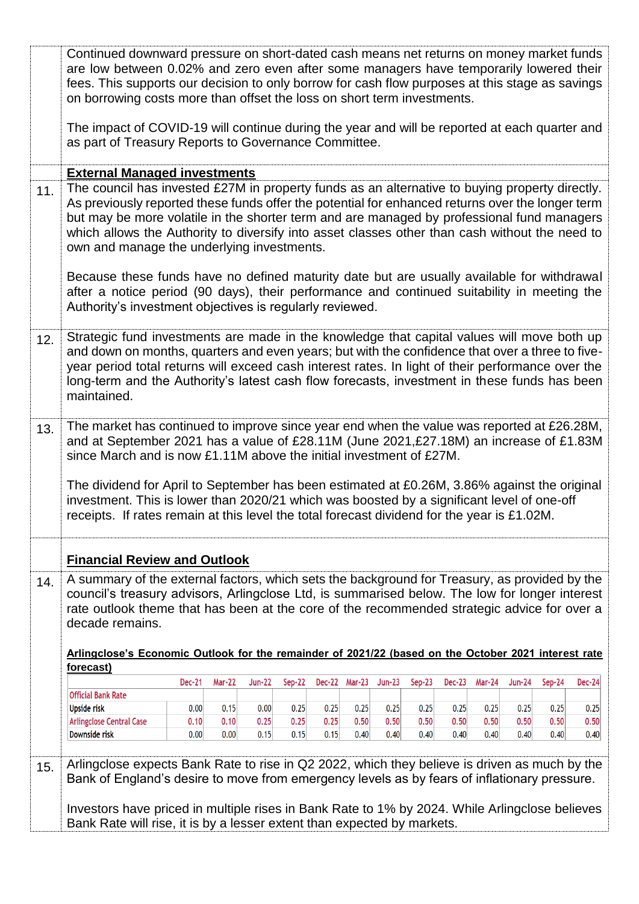|     | Continued downward pressure on short-dated cash means net returns on money market funds<br>are low between 0.02% and zero even after some managers have temporarily lowered their<br>fees. This supports our decision to only borrow for cash flow purposes at this stage as savings<br>on borrowing costs more than offset the loss on short term investments.                                                                                                  |               |               |          |        |      |               |          |        |          |        |               |        |        |
|-----|------------------------------------------------------------------------------------------------------------------------------------------------------------------------------------------------------------------------------------------------------------------------------------------------------------------------------------------------------------------------------------------------------------------------------------------------------------------|---------------|---------------|----------|--------|------|---------------|----------|--------|----------|--------|---------------|--------|--------|
|     | The impact of COVID-19 will continue during the year and will be reported at each quarter and<br>as part of Treasury Reports to Governance Committee.                                                                                                                                                                                                                                                                                                            |               |               |          |        |      |               |          |        |          |        |               |        |        |
|     | <b>External Managed investments</b>                                                                                                                                                                                                                                                                                                                                                                                                                              |               |               |          |        |      |               |          |        |          |        |               |        |        |
| 11. | The council has invested £27M in property funds as an alternative to buying property directly.<br>As previously reported these funds offer the potential for enhanced returns over the longer term<br>but may be more volatile in the shorter term and are managed by professional fund managers<br>which allows the Authority to diversify into asset classes other than cash without the need to<br>own and manage the underlying investments.                 |               |               |          |        |      |               |          |        |          |        |               |        |        |
|     | Because these funds have no defined maturity date but are usually available for withdrawal<br>after a notice period (90 days), their performance and continued suitability in meeting the<br>Authority's investment objectives is regularly reviewed.                                                                                                                                                                                                            |               |               |          |        |      |               |          |        |          |        |               |        |        |
| 12. | Strategic fund investments are made in the knowledge that capital values will move both up<br>and down on months, quarters and even years; but with the confidence that over a three to five-<br>year period total returns will exceed cash interest rates. In light of their performance over the<br>long-term and the Authority's latest cash flow forecasts, investment in these funds has been<br>maintained.                                                |               |               |          |        |      |               |          |        |          |        |               |        |        |
| 13. | The market has continued to improve since year end when the value was reported at £26.28M,<br>and at September 2021 has a value of £28.11M (June 2021, £27.18M) an increase of £1.83M<br>since March and is now £1.11M above the initial investment of £27M.                                                                                                                                                                                                     |               |               |          |        |      |               |          |        |          |        |               |        |        |
|     | The dividend for April to September has been estimated at £0.26M, 3.86% against the original<br>investment. This is lower than 2020/21 which was boosted by a significant level of one-off<br>receipts. If rates remain at this level the total forecast dividend for the year is £1.02M.                                                                                                                                                                        |               |               |          |        |      |               |          |        |          |        |               |        |        |
|     |                                                                                                                                                                                                                                                                                                                                                                                                                                                                  |               |               |          |        |      |               |          |        |          |        |               |        |        |
| 14. | <b>Financial Review and Outlook</b><br>A summary of the external factors, which sets the background for Treasury, as provided by the<br>council's treasury advisors, Arlingclose Ltd, is summarised below. The low for longer interest<br>rate outlook theme that has been at the core of the recommended strategic advice for over a<br>decade remains.<br>Arlingclose's Economic Outlook for the remainder of 2021/22 (based on the October 2021 interest rate |               |               |          |        |      |               |          |        |          |        |               |        |        |
|     | forecast)                                                                                                                                                                                                                                                                                                                                                                                                                                                        |               |               |          |        |      |               |          |        |          |        |               |        |        |
|     |                                                                                                                                                                                                                                                                                                                                                                                                                                                                  | <b>Dec-21</b> | <b>Mar-22</b> | $Jun-22$ | Sep-22 |      | Dec-22 Mar-23 | $Jun-23$ | Sep-23 | $Dec-23$ | Mar-24 | <b>Jun-24</b> | Sep-24 | Dec-24 |
|     | <b>Official Bank Rate</b><br><b>Upside risk</b>                                                                                                                                                                                                                                                                                                                                                                                                                  | 0.00          | 0.15          | 0.00     | 0.25   | 0.25 | 0.25          | 0.25     | 0.25   | 0.25     | 0.25   | 0.25          | 0.25   | 0.25   |
|     | <b>Arlingclose Central Case</b>                                                                                                                                                                                                                                                                                                                                                                                                                                  | 0.10          | 0.10          | 0.25     | 0.25   | 0.25 | 0.50          | 0.50     | 0.50   | 0.50     | 0.50   | 0.50          | 0.50   | 0.50   |
|     | Downside risk                                                                                                                                                                                                                                                                                                                                                                                                                                                    | 0.00          | 0.00          | 0.15     | 0.15   | 0.15 | 0.40          | 0.40     | 0.40   | 0.40     | 0.40   | 0.40          | 0.40   | 0.40   |
| 15. | Arlingclose expects Bank Rate to rise in Q2 2022, which they believe is driven as much by the<br>Bank of England's desire to move from emergency levels as by fears of inflationary pressure.<br>Investors have priced in multiple rises in Bank Rate to 1% by 2024. While Arlingclose believes<br>Bank Rate will rise, it is by a lesser extent than expected by markets.                                                                                       |               |               |          |        |      |               |          |        |          |        |               |        |        |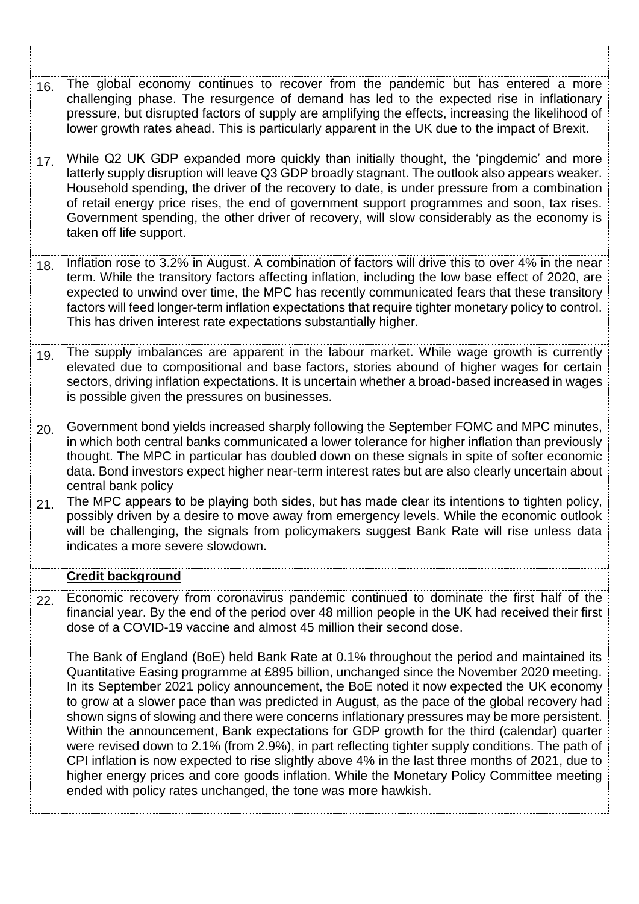| 16. | The global economy continues to recover from the pandemic but has entered a more<br>challenging phase. The resurgence of demand has led to the expected rise in inflationary<br>pressure, but disrupted factors of supply are amplifying the effects, increasing the likelihood of<br>lower growth rates ahead. This is particularly apparent in the UK due to the impact of Brexit.                                                                                                                                                                                                                                                                                                                                                                                                                                                                                                                                                                     |
|-----|----------------------------------------------------------------------------------------------------------------------------------------------------------------------------------------------------------------------------------------------------------------------------------------------------------------------------------------------------------------------------------------------------------------------------------------------------------------------------------------------------------------------------------------------------------------------------------------------------------------------------------------------------------------------------------------------------------------------------------------------------------------------------------------------------------------------------------------------------------------------------------------------------------------------------------------------------------|
| 17. | While Q2 UK GDP expanded more quickly than initially thought, the 'pingdemic' and more<br>latterly supply disruption will leave Q3 GDP broadly stagnant. The outlook also appears weaker.<br>Household spending, the driver of the recovery to date, is under pressure from a combination<br>of retail energy price rises, the end of government support programmes and soon, tax rises.<br>Government spending, the other driver of recovery, will slow considerably as the economy is<br>taken off life support.                                                                                                                                                                                                                                                                                                                                                                                                                                       |
| 18. | Inflation rose to 3.2% in August. A combination of factors will drive this to over 4% in the near<br>term. While the transitory factors affecting inflation, including the low base effect of 2020, are<br>expected to unwind over time, the MPC has recently communicated fears that these transitory<br>factors will feed longer-term inflation expectations that require tighter monetary policy to control.<br>This has driven interest rate expectations substantially higher.                                                                                                                                                                                                                                                                                                                                                                                                                                                                      |
| 19. | The supply imbalances are apparent in the labour market. While wage growth is currently<br>elevated due to compositional and base factors, stories abound of higher wages for certain<br>sectors, driving inflation expectations. It is uncertain whether a broad-based increased in wages<br>is possible given the pressures on businesses.                                                                                                                                                                                                                                                                                                                                                                                                                                                                                                                                                                                                             |
| 20. | Government bond yields increased sharply following the September FOMC and MPC minutes,<br>in which both central banks communicated a lower tolerance for higher inflation than previously<br>thought. The MPC in particular has doubled down on these signals in spite of softer economic<br>data. Bond investors expect higher near-term interest rates but are also clearly uncertain about<br>central bank policy                                                                                                                                                                                                                                                                                                                                                                                                                                                                                                                                     |
| 21. | The MPC appears to be playing both sides, but has made clear its intentions to tighten policy,<br>possibly driven by a desire to move away from emergency levels. While the economic outlook<br>will be challenging, the signals from policymakers suggest Bank Rate will rise unless data<br>indicates a more severe slowdown.                                                                                                                                                                                                                                                                                                                                                                                                                                                                                                                                                                                                                          |
|     | <b>Credit background</b>                                                                                                                                                                                                                                                                                                                                                                                                                                                                                                                                                                                                                                                                                                                                                                                                                                                                                                                                 |
| 22. | Economic recovery from coronavirus pandemic continued to dominate the first half of the<br>financial year. By the end of the period over 48 million people in the UK had received their first<br>dose of a COVID-19 vaccine and almost 45 million their second dose.                                                                                                                                                                                                                                                                                                                                                                                                                                                                                                                                                                                                                                                                                     |
|     | The Bank of England (BoE) held Bank Rate at 0.1% throughout the period and maintained its<br>Quantitative Easing programme at £895 billion, unchanged since the November 2020 meeting.<br>In its September 2021 policy announcement, the BoE noted it now expected the UK economy<br>to grow at a slower pace than was predicted in August, as the pace of the global recovery had<br>shown signs of slowing and there were concerns inflationary pressures may be more persistent.<br>Within the announcement, Bank expectations for GDP growth for the third (calendar) quarter<br>were revised down to 2.1% (from 2.9%), in part reflecting tighter supply conditions. The path of<br>CPI inflation is now expected to rise slightly above 4% in the last three months of 2021, due to<br>higher energy prices and core goods inflation. While the Monetary Policy Committee meeting<br>ended with policy rates unchanged, the tone was more hawkish. |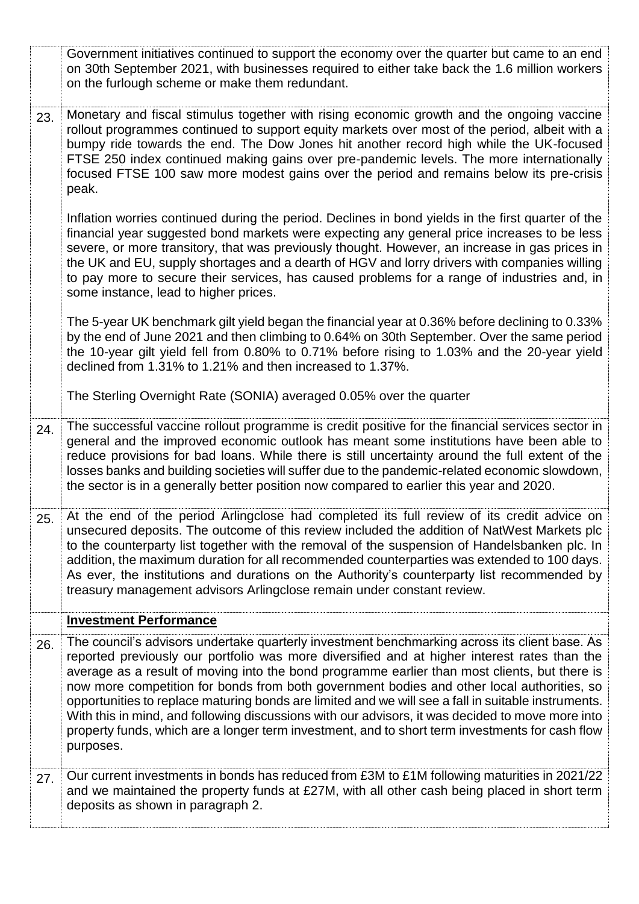|     | Government initiatives continued to support the economy over the quarter but came to an end<br>on 30th September 2021, with businesses required to either take back the 1.6 million workers<br>on the furlough scheme or make them redundant.                                                                                                                                                                                                                                                                                                                                                                                                                                                                           |
|-----|-------------------------------------------------------------------------------------------------------------------------------------------------------------------------------------------------------------------------------------------------------------------------------------------------------------------------------------------------------------------------------------------------------------------------------------------------------------------------------------------------------------------------------------------------------------------------------------------------------------------------------------------------------------------------------------------------------------------------|
| 23. | Monetary and fiscal stimulus together with rising economic growth and the ongoing vaccine<br>rollout programmes continued to support equity markets over most of the period, albeit with a<br>bumpy ride towards the end. The Dow Jones hit another record high while the UK-focused<br>FTSE 250 index continued making gains over pre-pandemic levels. The more internationally<br>focused FTSE 100 saw more modest gains over the period and remains below its pre-crisis<br>peak.                                                                                                                                                                                                                                    |
|     | Inflation worries continued during the period. Declines in bond yields in the first quarter of the<br>financial year suggested bond markets were expecting any general price increases to be less<br>severe, or more transitory, that was previously thought. However, an increase in gas prices in<br>the UK and EU, supply shortages and a dearth of HGV and lorry drivers with companies willing<br>to pay more to secure their services, has caused problems for a range of industries and, in<br>some instance, lead to higher prices.                                                                                                                                                                             |
|     | The 5-year UK benchmark gilt yield began the financial year at 0.36% before declining to 0.33%<br>by the end of June 2021 and then climbing to 0.64% on 30th September. Over the same period<br>the 10-year gilt yield fell from 0.80% to 0.71% before rising to 1.03% and the 20-year yield<br>declined from 1.31% to 1.21% and then increased to 1.37%.                                                                                                                                                                                                                                                                                                                                                               |
|     | The Sterling Overnight Rate (SONIA) averaged 0.05% over the quarter                                                                                                                                                                                                                                                                                                                                                                                                                                                                                                                                                                                                                                                     |
| 24. | The successful vaccine rollout programme is credit positive for the financial services sector in<br>general and the improved economic outlook has meant some institutions have been able to<br>reduce provisions for bad loans. While there is still uncertainty around the full extent of the<br>losses banks and building societies will suffer due to the pandemic-related economic slowdown,<br>the sector is in a generally better position now compared to earlier this year and 2020.                                                                                                                                                                                                                            |
| 25. | At the end of the period Arlingclose had completed its full review of its credit advice on<br>unsecured deposits. The outcome of this review included the addition of NatWest Markets plc<br>to the counterparty list together with the removal of the suspension of Handelsbanken plc. In<br>addition, the maximum duration for all recommended counterparties was extended to 100 days.<br>As ever, the institutions and durations on the Authority's counterparty list recommended by<br>treasury management advisors Arlingclose remain under constant review.                                                                                                                                                      |
|     | <b>Investment Performance</b>                                                                                                                                                                                                                                                                                                                                                                                                                                                                                                                                                                                                                                                                                           |
| 26. | The council's advisors undertake quarterly investment benchmarking across its client base. As<br>reported previously our portfolio was more diversified and at higher interest rates than the<br>average as a result of moving into the bond programme earlier than most clients, but there is<br>now more competition for bonds from both government bodies and other local authorities, so<br>opportunities to replace maturing bonds are limited and we will see a fall in suitable instruments.<br>With this in mind, and following discussions with our advisors, it was decided to move more into<br>property funds, which are a longer term investment, and to short term investments for cash flow<br>purposes. |
| 27. | Our current investments in bonds has reduced from £3M to £1M following maturities in 2021/22<br>and we maintained the property funds at £27M, with all other cash being placed in short term<br>deposits as shown in paragraph 2.                                                                                                                                                                                                                                                                                                                                                                                                                                                                                       |